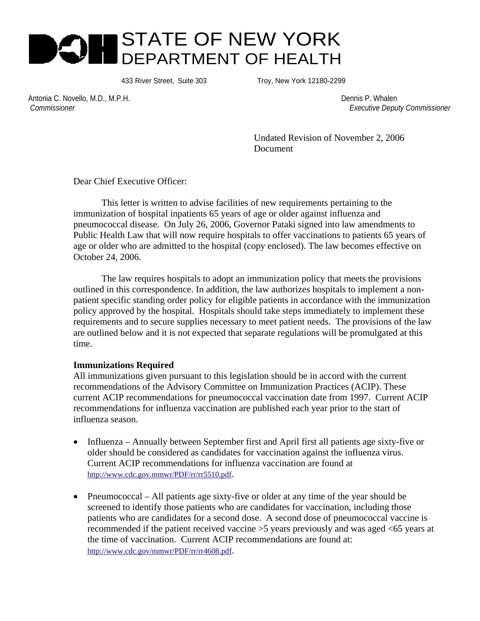# STATE OF NEW YORK DEPARTMENT OF HEALTH

433 River Street, Suite 303 Troy, New York 12180-2299

Antonia C. Novello, M.D., M.P.H. Dennis P. Whalen

 *Commissioner Executive Deputy Commissioner*

 Undated Revision of November 2, 2006 Document

Dear Chief Executive Officer:

This letter is written to advise facilities of new requirements pertaining to the immunization of hospital inpatients 65 years of age or older against influenza and pneumococcal disease. On July 26, 2006, Governor Pataki signed into law amendments to Public Health Law that will now require hospitals to offer vaccinations to patients 65 years of age or older who are admitted to the hospital (copy enclosed). The law becomes effective on October 24, 2006.

 The law requires hospitals to adopt an immunization policy that meets the provisions outlined in this correspondence. In addition, the law authorizes hospitals to implement a nonpatient specific standing order policy for eligible patients in accordance with the immunization policy approved by the hospital. Hospitals should take steps immediately to implement these requirements and to secure supplies necessary to meet patient needs. The provisions of the law are outlined below and it is not expected that separate regulations will be promulgated at this time.

#### **Immunizations Required**

All immunizations given pursuant to this legislation should be in accord with the current recommendations of the Advisory Committee on Immunization Practices (ACIP). These current ACIP recommendations for pneumococcal vaccination date from 1997. Current ACIP recommendations for influenza vaccination are published each year prior to the start of influenza season.

- Influenza Annually between September first and April first all patients age sixty-five or older should be considered as candidates for vaccination against the influenza virus. Current ACIP recommendations for influenza vaccination are found at http://www.cdc.gov.mmwr/PDF/rr/rr5510.pdf.
- Pneumococcal All patients age sixty-five or older at any time of the year should be screened to identify those patients who are candidates for vaccination, including those patients who are candidates for a second dose. A second dose of pneumococcal vaccine is recommended if the patient received vaccine >5 years previously and was aged <65 years at the time of vaccination. Current ACIP recommendations are found at: http://www.cdc.gov/mmwr/PDF/rr/rr4608.pdf.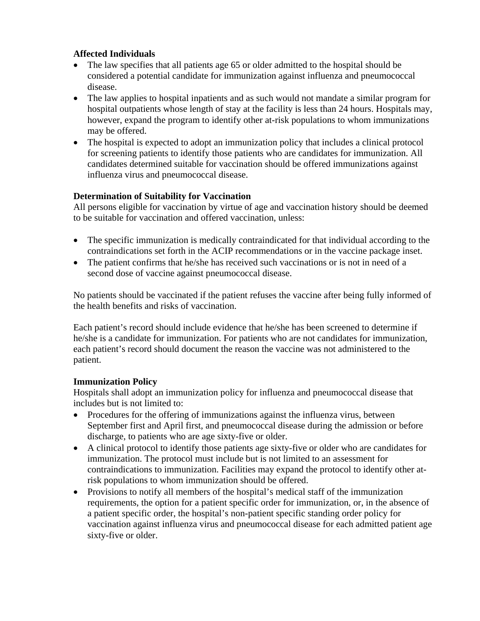### **Affected Individuals**

- The law specifies that all patients age 65 or older admitted to the hospital should be considered a potential candidate for immunization against influenza and pneumococcal disease.
- The law applies to hospital inpatients and as such would not mandate a similar program for hospital outpatients whose length of stay at the facility is less than 24 hours. Hospitals may, however, expand the program to identify other at-risk populations to whom immunizations may be offered.
- The hospital is expected to adopt an immunization policy that includes a clinical protocol for screening patients to identify those patients who are candidates for immunization. All candidates determined suitable for vaccination should be offered immunizations against influenza virus and pneumococcal disease.

## **Determination of Suitability for Vaccination**

All persons eligible for vaccination by virtue of age and vaccination history should be deemed to be suitable for vaccination and offered vaccination, unless:

- The specific immunization is medically contraindicated for that individual according to the contraindications set forth in the ACIP recommendations or in the vaccine package inset.
- The patient confirms that he/she has received such vaccinations or is not in need of a second dose of vaccine against pneumococcal disease.

No patients should be vaccinated if the patient refuses the vaccine after being fully informed of the health benefits and risks of vaccination.

Each patient's record should include evidence that he/she has been screened to determine if he/she is a candidate for immunization. For patients who are not candidates for immunization, each patient's record should document the reason the vaccine was not administered to the patient.

#### **Immunization Policy**

Hospitals shall adopt an immunization policy for influenza and pneumococcal disease that includes but is not limited to:

- Procedures for the offering of immunizations against the influenza virus, between September first and April first, and pneumococcal disease during the admission or before discharge, to patients who are age sixty-five or older.
- A clinical protocol to identify those patients age sixty-five or older who are candidates for immunization. The protocol must include but is not limited to an assessment for contraindications to immunization. Facilities may expand the protocol to identify other atrisk populations to whom immunization should be offered.
- Provisions to notify all members of the hospital's medical staff of the immunization requirements, the option for a patient specific order for immunization, or, in the absence of a patient specific order, the hospital's non-patient specific standing order policy for vaccination against influenza virus and pneumococcal disease for each admitted patient age sixty-five or older.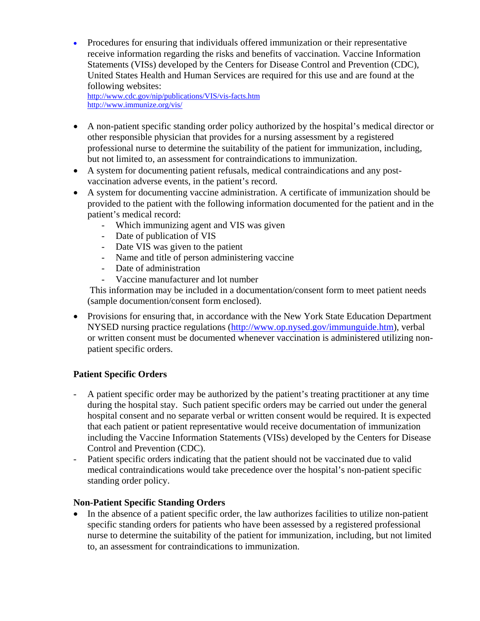• Procedures for ensuring that individuals offered immunization or their representative receive information regarding the risks and benefits of vaccination. Vaccine Information Statements (VISs) developed by the Centers for Disease Control and Prevention (CDC), United States Health and Human Services are required for this use and are found at the following websites:

http://www.cdc.gov/nip/publications/VIS/vis-facts.htm http://www.immunize.org/vis/

- A non-patient specific standing order policy authorized by the hospital's medical director or other responsible physician that provides for a nursing assessment by a registered professional nurse to determine the suitability of the patient for immunization, including, but not limited to, an assessment for contraindications to immunization.
- A system for documenting patient refusals, medical contraindications and any postvaccination adverse events, in the patient's record.
- A system for documenting vaccine administration. A certificate of immunization should be provided to the patient with the following information documented for the patient and in the patient's medical record:
	- Which immunizing agent and VIS was given
	- Date of publication of VIS
	- Date VIS was given to the patient
	- Name and title of person administering vaccine
	- Date of administration
	- Vaccine manufacturer and lot number

 This information may be included in a documentation/consent form to meet patient needs (sample documention/consent form enclosed).

• Provisions for ensuring that, in accordance with the New York State Education Department NYSED nursing practice regulations (http://www.op.nysed.gov/immunguide.htm), verbal or written consent must be documented whenever vaccination is administered utilizing nonpatient specific orders.

## **Patient Specific Orders**

- A patient specific order may be authorized by the patient's treating practitioner at any time during the hospital stay. Such patient specific orders may be carried out under the general hospital consent and no separate verbal or written consent would be required. It is expected that each patient or patient representative would receive documentation of immunization including the Vaccine Information Statements (VISs) developed by the Centers for Disease Control and Prevention (CDC).
- Patient specific orders indicating that the patient should not be vaccinated due to valid medical contraindications would take precedence over the hospital's non-patient specific standing order policy.

#### **Non-Patient Specific Standing Orders**

• In the absence of a patient specific order, the law authorizes facilities to utilize non-patient specific standing orders for patients who have been assessed by a registered professional nurse to determine the suitability of the patient for immunization, including, but not limited to, an assessment for contraindications to immunization.